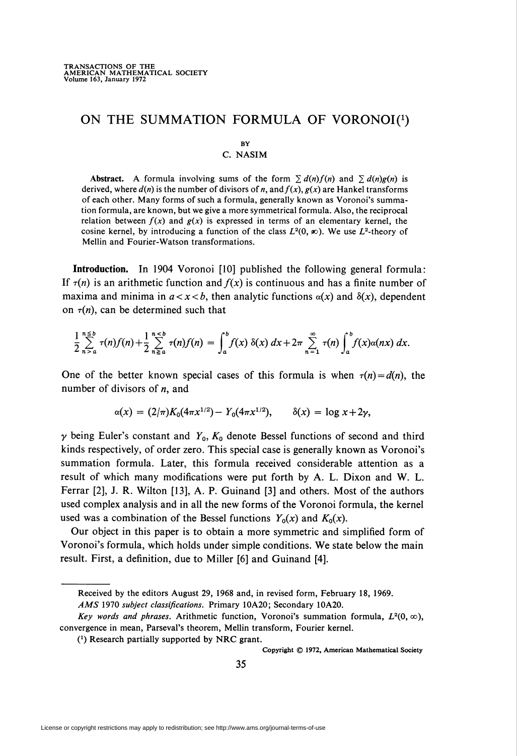## ON THE SUMMATION FORMULA OF VORONOI $(1)$

## by

## C. NASIM

Abstract. A formula involving sums of the form  $\sum d(n)f(n)$  and  $\sum d(n)g(n)$  is derived, where  $d(n)$  is the number of divisors of n, and  $f(x)$ ,  $g(x)$  are Hankel transforms of each other. Many forms of such a formula, generally known as Voronoi's summation formula, are known, but we give a more symmetrical formula. Also, the reciprocal relation between  $f(x)$  and  $g(x)$  is expressed in terms of an elementary kernel, the cosine kernel, by introducing a function of the class  $L^2(0, \infty)$ . We use  $L^2$ -theory of Mellin and Fourier-Watson transformations.

Introduction. In 1904 Voronoi [10] published the following general formula: If  $\tau(n)$  is an arithmetic function and  $f(x)$  is continuous and has a finite number of maxima and minima in  $a < x < b$ , then analytic functions  $\alpha(x)$  and  $\delta(x)$ , dependent on  $\tau(n)$ , can be determined such that

$$
\frac{1}{2}\sum_{n=a}^{n\leq b}\tau(n)f(n)+\frac{1}{2}\sum_{n\geq a}^{n
$$

One of the better known special cases of this formula is when  $\tau(n) = d(n)$ , the number of divisors of  $n$ , and

$$
\alpha(x) = (2/\pi)K_0(4\pi x^{1/2}) - Y_0(4\pi x^{1/2}), \qquad \delta(x) = \log x + 2\gamma,
$$

 $\gamma$  being Euler's constant and  $Y_0$ ,  $K_0$  denote Bessel functions of second and third kinds respectively, of order zero. This special case is generally known as Voronoi's summation formula. Later, this formula received considerable attention as a result of which many modifications were put forth by A. L. Dixon and W. L. Ferrar [2], J. R. Wilton [13], A. P. Guinand [3] and others. Most of the authors used complex analysis and in all the new forms of the Voronoi formula, the kernel used was a combination of the Bessel functions  $Y_0(x)$  and  $K_0(x)$ .

Our object in this paper is to obtain a more symmetric and simplified form of Voronoi's formula, which holds under simple conditions. We state below the main result. First, a definition, due to Miller [6] and Guinand [4].

Copyright © 1972, American Mathematical Society

Received by the editors August 29, 1968 and, in revised form, February 18, 1969.

AMS 1970 subject classifications. Primary 10A20; Secondary 10A20.

Key words and phrases. Arithmetic function, Voronoi's summation formula,  $L^2(0, \infty)$ , convergence in mean, Parseval's theorem, Mellin transform, Fourier kernel.

 $(1)$  Research partially supported by NRC grant.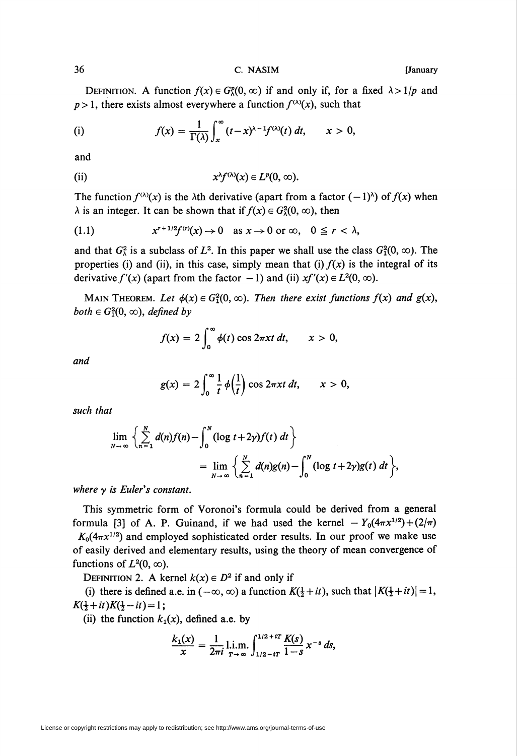DEFINITION. A function  $f(x) \in G_{\lambda}^p(0, \infty)$  if and only if, for a fixed  $\lambda > 1/p$  and  $p > 1$ , there exists almost everywhere a function  $f^{(\lambda)}(x)$ , such that

(i) 
$$
f(x) = \frac{1}{\Gamma(\lambda)} \int_x^{\infty} (t-x)^{\lambda-1} f^{(\lambda)}(t) dt, \qquad x > 0,
$$

and

(ii) 
$$
x^{\lambda}f^{(\lambda)}(x) \in L^{p}(0,\infty).
$$

The function  $f^{(\lambda)}(x)$  is the  $\lambda$ th derivative (apart from a factor  $(-1)^{\lambda}$ ) of  $f(x)$  when  $\lambda$  is an integer. It can be shown that if  $f(x) \in G_{\lambda}^2(0, \infty)$ , then

(1.1) 
$$
x^{r+1/2}f^{(r)}(x) \to 0 \text{ as } x \to 0 \text{ or } \infty, \quad 0 \leq r < \lambda,
$$

and that  $G_{\lambda}^2$  is a subclass of  $L^2$ . In this paper we shall use the class  $G_1^2(0, \infty)$ . The properties (i) and (ii), in this case, simply mean that (i)  $f(x)$  is the integral of its derivative  $f'(x)$  (apart from the factor  $-1$ ) and (ii)  $xf''(x) \in L^2(0, \infty)$ .

MAIN THEOREM. Let  $\phi(x) \in G_1^2(0, \infty)$ . Then there exist functions  $f(x)$  and  $g(x)$ , both  $\in G_1^2(0, \infty)$ , defined by

$$
f(x) = 2 \int_0^\infty \phi(t) \cos 2\pi x t \, dt, \qquad x > 0,
$$

and

$$
g(x) = 2 \int_0^\infty \frac{1}{t} \phi\left(\frac{1}{t}\right) \cos 2\pi xt \, dt, \qquad x > 0,
$$

such that

$$
\lim_{N \to \infty} \left\{ \sum_{n=1}^{N} d(n) f(n) - \int_{0}^{N} (\log t + 2\gamma) f(t) dt \right\}
$$
  
= 
$$
\lim_{N \to \infty} \left\{ \sum_{n=1}^{N} d(n) g(n) - \int_{0}^{N} (\log t + 2\gamma) g(t) dt \right\},
$$

where  $\gamma$  is Euler's constant.

This symmetric form of Voronoi's formula could be derived from a general formula [3] of A. P. Guinand, if we had used the kernel  $-Y_0(4\pi x^{1/2}) + (2/\pi)$  $K_0(4\pi x^{1/2})$  and employed sophisticated order results. In our proof we make use of easily derived and elementary results, using the theory of mean convergence of functions of  $L^2(0, \infty)$ .

DEFINITION 2. A kernel  $k(x) \in D^2$  if and only if

(i) there is defined a.e. in  $(-\infty, \infty)$  a function  $K(\frac{1}{2} + it)$ , such that  $\vert K(\frac{1}{2} + it)\vert = 1$ ,  $K(\frac{1}{2}+it)K(\frac{1}{2}-it)=1$ ;

(ii) the function  $k_1(x)$ , defined a.e. by

$$
\frac{k_1(x)}{x} = \frac{1}{2\pi i} \lim_{T \to \infty} \int_{1/2 - iT}^{1/2 + iT} \frac{K(s)}{1 - s} x^{-s} ds,
$$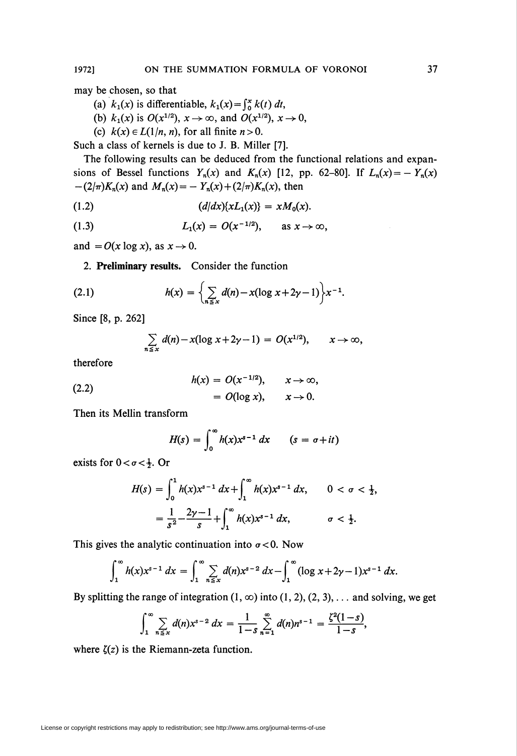may be chosen, so that

- (a)  $k_1(x)$  is differentiable,  $k_1(x) = \int_0^x k(t) dt$ ,
- (b)  $k_1(x)$  is  $O(x^{1/2})$ ,  $x \to \infty$ , and  $O(x^{1/2})$ ,  $x \to 0$ ,
- (c)  $k(x) \in L(1/n, n)$ , for all finite  $n > 0$ .

Such a class of kernels is due to J. B. Miller [7].

The following results can be deduced from the functional relations and expansions of Bessel functions  $Y_n(x)$  and  $K_n(x)$  [12, pp. 62-80]. If  $L_n(x) = -Y_n(x)$  $-(2/\pi)K_n(x)$  and  $M_n(x) = -Y_n(x) + (2/\pi)K_n(x)$ , then

(1.2) 
$$
(d/dx)\{xL_1(x)\} = xM_0(x).
$$

(1.3) 
$$
L_1(x) = O(x^{-1/2}), \text{ as } x \to \infty,
$$

and  $= O(x \log x)$ , as  $x \to 0$ .

2. Preliminary results. Consider the function

(2.1) 
$$
h(x) = \left\{ \sum_{n \le x} d(n) - x(\log x + 2\gamma - 1) \right\} x^{-1}.
$$

Since [8, p. 262]

$$
\sum_{n\leq x} d(n) - x(\log x + 2\gamma - 1) = O(x^{1/2}), \qquad x \to \infty,
$$

therefore

(2.2) 
$$
h(x) = O(x^{-1/2}), \quad x \to \infty,
$$

$$
= O(\log x), \quad x \to 0.
$$

Then its Mellin transform

 $\overline{\phantom{a}}$ 

$$
H(s) = \int_0^\infty h(x) x^{s-1} dx \qquad (s = \sigma + it)
$$

exists for  $0 < \sigma < \frac{1}{2}$ . Or

$$
H(s) = \int_0^1 h(x)x^{s-1} dx + \int_1^{\infty} h(x)x^{s-1} dx, \qquad 0 < \sigma < \frac{1}{2},
$$
  
=  $\frac{1}{s^2} - \frac{2\gamma - 1}{s} + \int_1^{\infty} h(x)x^{s-1} dx, \qquad \sigma < \frac{1}{2}.$ 

This gives the analytic continuation into  $\sigma < 0$ . Now

$$
\int_1^{\infty} h(x) x^{s-1} dx = \int_1^{\infty} \sum_{n \leq x} d(n) x^{s-2} dx - \int_1^{\infty} (\log x + 2\gamma - 1) x^{s-1} dx.
$$

By splitting the range of integration  $(1, \infty)$  into  $(1, 2), (2, 3), \ldots$  and solving, we get

$$
\int_1^{\infty} \sum_{n \leq x} d(n) x^{s-2} dx = \frac{1}{1-s} \sum_{n=1}^{\infty} d(n) n^{s-1} = \frac{\zeta^2 (1-s)}{1-s},
$$

where  $\zeta(z)$  is the Riemann-zeta function.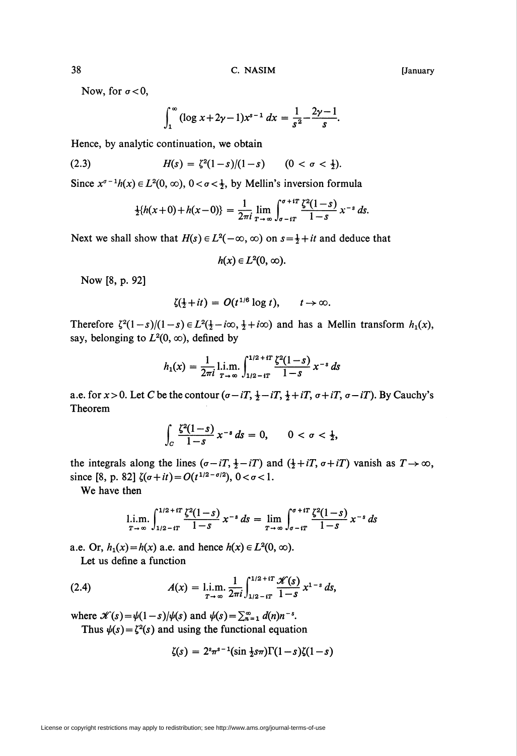Now, for  $\sigma < 0$ ,

$$
\int_1^\infty (\log x + 2\gamma - 1) x^{s-1} \ dx = \frac{1}{s^2} - \frac{2\gamma - 1}{s}.
$$

Hence, by analytic continuation, we obtain

(2.3) 
$$
H(s) = \zeta^2(1-s)/(1-s) \qquad (0 < \sigma < \frac{1}{2}).
$$

Since  $x^{\sigma-1}h(x) \in L^2(0, \infty)$ ,  $0 < \sigma < \frac{1}{2}$ , by Mellin's inversion formula

$$
\frac{1}{2}\{h(x+0)+h(x-0)\}=\frac{1}{2\pi i}\lim_{T\to\infty}\int_{\sigma-iT}^{\sigma+iT}\frac{\zeta^2(1-s)}{1-s}x^{-s}\,ds.
$$

Next we shall show that  $H(s) \in L^2(-\infty, \infty)$  on  $s = \frac{1}{2} + it$  and deduce that

$$
h(x)\in L^2(0,\,\infty).
$$

Now [8, p. 92]

$$
\zeta(\tfrac{1}{2}+it) = O(t^{1/6}\log t), \qquad t\to\infty.
$$

Therefore  $\zeta^2(1-s)/(1-s) \in L^2(\frac{1}{2}-i\infty, \frac{1}{2}+i\infty)$  and has a Mellin transform  $h_1(x)$ , say, belonging to  $L^2(0, \infty)$ , defined by

$$
h_1(x) = \frac{1}{2\pi i} \lim_{T \to \infty} \int_{1/2 - iT}^{1/2 + iT} \frac{\zeta^2 (1 - s)}{1 - s} x^{-s} ds
$$

a.e. for  $x > 0$ . Let C be the contour  $(\sigma - iT, \frac{1}{2} - iT, \frac{1}{2} + iT, \sigma + iT, \sigma - iT)$ . By Cauchy's Theorem

$$
\int_C \frac{\zeta^2(1-s)}{1-s} \, x^{-s} \, ds = 0, \qquad 0 < \sigma < \frac{1}{2},
$$

the integrals along the lines  $(\sigma - iT, \frac{1}{2} - iT)$  and  $(\frac{1}{2} + iT, \sigma + iT)$  vanish as  $T \rightarrow \infty$ , since [8, p. 82]  $\zeta(\sigma+it)=O(t^{1/2-\sigma/2}), 0<\sigma<1.$ 

We have then

$$
\lim_{T \to \infty} \int_{1/2 - iT}^{1/2 + iT} \frac{\zeta^2 (1-s)}{1-s} x^{-s} ds = \lim_{T \to \infty} \int_{\sigma - iT}^{\sigma + iT} \frac{\zeta^2 (1-s)}{1-s} x^{-s} ds
$$

a.e. Or,  $h_1(x) = h(x)$  a.e. and hence  $h(x) \in L^2(0, \infty)$ .

Let us define a function

(2.4) 
$$
A(x) = \lim_{T \to \infty} \frac{1}{2\pi i} \int_{1/2 - iT}^{1/2 + iT} \frac{\mathcal{K}(s)}{1 - s} x^{1 - s} ds,
$$

where  $\mathscr{K}(s) = \psi(1-s)/\psi(s)$  and  $\psi(s) = \sum_{n=1}^{\infty} d(n)n^{-s}$ . Thus  $\psi(s) = \zeta^2(s)$  and using the functional equation

$$
\zeta(s) = 2^s \pi^{s-1} (\sin \frac{1}{2} s \pi) \Gamma(1-s) \zeta(1-s)
$$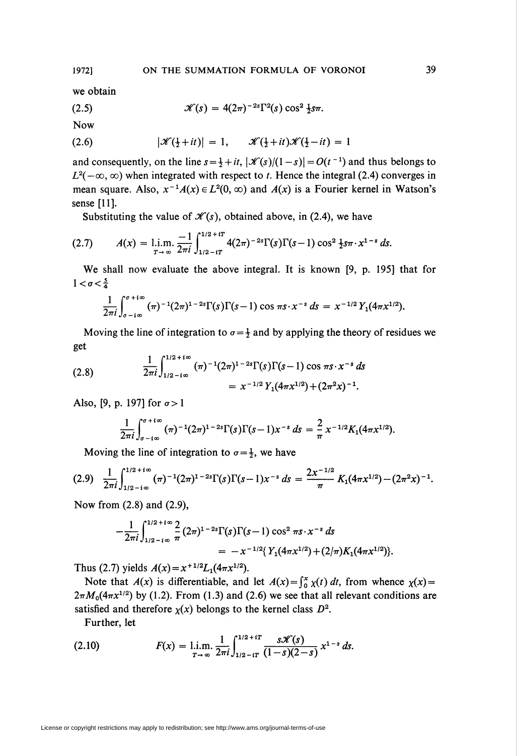we obtain

(2.5) 
$$
\mathscr{K}(s) = 4(2\pi)^{-2s} \Gamma^2(s) \cos^2 \frac{1}{2} s \pi.
$$

Now

$$
(2.6) \qquad |\mathcal{K}(\frac{1}{2}+it)|=1, \qquad \mathcal{K}(\frac{1}{2}+it)\mathcal{K}(\frac{1}{2}-it)=1
$$

and consequently, on the line  $s = \frac{1}{2} + it$ ,  $|\mathcal{K}(s)/(1-s)| = O(t^{-1})$  and thus belongs to  $L^{2}(-\infty, \infty)$  when integrated with respect to t. Hence the integral (2.4) converges in mean square. Also,  $x^{-1}A(x) \in L^2(0, \infty)$  and  $A(x)$  is a Fourier kernel in Watson's sense [11].

Substituting the value of  $\mathcal{K}(s)$ , obtained above, in (2.4), we have

$$
(2.7) \qquad A(x) = \lim_{T \to \infty} \frac{-1}{2\pi i} \int_{1/2 - iT}^{1/2 + iT} 4(2\pi)^{-2s} \Gamma(s) \Gamma(s-1) \cos^2 \frac{1}{2} s \pi \cdot x^{1-s} ds.
$$

We shall now evaluate the above integral. It is known [9, p. 195] that for  $1 < \sigma < \frac{5}{4}$ 

$$
\frac{1}{2\pi i}\int_{\sigma - i\infty}^{\sigma + i\infty} (\pi)^{-1} (2\pi)^{1-2s} \Gamma(s) \Gamma(s-1) \cos \pi s \cdot x^{-s} ds = x^{-1/2} Y_1(4\pi x^{1/2}).
$$

Moving the line of integration to  $\sigma = \frac{1}{2}$  and by applying the theory of residues we get

(2.8) 
$$
\frac{1}{2\pi i} \int_{1/2 - i\infty}^{1/2 + i\infty} (\pi)^{-1} (2\pi)^{1-2s} \Gamma(s) \Gamma(s-1) \cos \pi s \cdot x^{-s} ds
$$

$$
= x^{-1/2} Y_1 (4\pi x^{1/2}) + (2\pi^2 x)^{-1}.
$$

Also, [9, p. 197] for  $\sigma > 1$ 

$$
\frac{1}{2\pi i}\int_{\sigma - i\infty}^{\sigma + i\infty} (\pi)^{-1} (2\pi)^{1-2s} \Gamma(s) \Gamma(s-1) x^{-s} ds = \frac{2}{\pi} x^{-1/2} K_1(4\pi x^{1/2}).
$$

Moving the line of integration to  $\sigma = \frac{1}{2}$ , we have

$$
(2.9) \quad \frac{1}{2\pi i} \int_{1/2 - i\infty}^{1/2 + i\infty} (\pi)^{-1} (2\pi)^{1-2s} \Gamma(s) \Gamma(s-1) x^{-s} \, ds = \frac{2x^{-1/2}}{\pi} K_1 (4\pi x^{1/2}) - (2\pi^2 x)^{-1}.
$$

Now from (2.8) and (2.9),

$$
-\frac{1}{2\pi i}\int_{1/2-i\infty}^{1/2+i\infty} \frac{2}{\pi} (2\pi)^{1-2s} \Gamma(s) \Gamma(s-1) \cos^2 \pi s \cdot x^{-s} ds
$$
  
=  $-x^{-1/2} \{ Y_1(4\pi x^{1/2}) + (2/\pi) K_1(4\pi x^{1/2}) \}.$ 

Thus (2.7) yields  $A(x) = x^{+1/2}L_1(4\pi x^{1/2})$ .

Note that  $A(x)$  is differentiable, and let  $A(x) = \int_0^x x(t) dt$ , from whence  $\chi(x) =$  $2\pi M_0(4\pi x^{1/2})$  by (1.2). From (1.3) and (2.6) we see that all relevant conditions are satisfied and therefore  $\chi(x)$  belongs to the kernel class  $D^2$ .

Further, let

(2.10) 
$$
F(x) = \lim_{T \to \infty} \frac{1}{2\pi i} \int_{1/2 - iT}^{1/2 + iT} \frac{s \mathscr{K}(s)}{(1 - s)(2 - s)} x^{1 - s} ds.
$$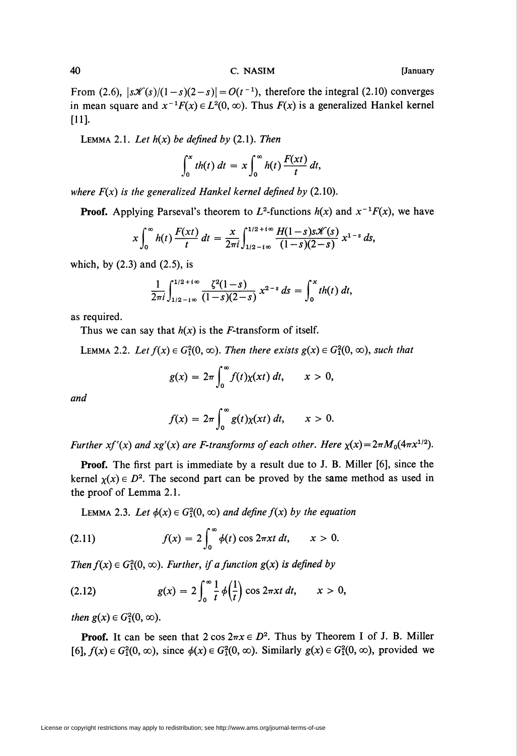From (2.6),  $\left|s\mathcal{K}(s)/(1-s)(2-s)\right| = O(t^{-1})$ , therefore the integral (2.10) converges in mean square and  $x^{-1}F(x) \in L^2(0, \infty)$ . Thus  $F(x)$  is a generalized Hankel kernel [11].

LEMMA 2.1. Let  $h(x)$  be defined by (2.1). Then

$$
\int_0^x th(t) dt = x \int_0^{\infty} h(t) \frac{F(xt)}{t} dt,
$$

where  $F(x)$  is the generalized Hankel kernel defined by (2.10).

**Proof.** Applying Parseval's theorem to  $L^2$ -functions  $h(x)$  and  $x^{-1}F(x)$ , we have

$$
x\int_0^{\infty}h(t)\,\frac{F(xt)}{t}\,dt=\frac{x}{2\pi i}\int_{1/2-i\infty}^{1/2+i\infty}\frac{H(1-s)s\mathscr{K}(s)}{(1-s)(2-s)}\,x^{1-s}\,ds,
$$

which, by  $(2.3)$  and  $(2.5)$ , is

$$
\frac{1}{2\pi i}\int_{1/2-i\infty}^{1/2+i\infty}\frac{\zeta^2(1-s)}{(1-s)(2-s)}\,x^{2-s}\,ds=\int_0^x th(t)\,dt,
$$

as required.

Thus we can say that  $h(x)$  is the *F*-transform of itself.

LEMMA 2.2. Let  $f(x) \in G_1^2(0, \infty)$ . Then there exists  $g(x) \in G_1^2(0, \infty)$ , such that

$$
g(x) = 2\pi \int_0^\infty f(t)\chi(xt)\,dt, \qquad x > 0,
$$

and

$$
f(x) = 2\pi \int_0^\infty g(t) \chi(xt) dt, \qquad x > 0.
$$

Further xf'(x) and xg'(x) are F-transforms of each other. Here  $\chi(x) = 2\pi M_0(4\pi x^{1/2})$ .

Proof. The first part is immediate by a result due to J. B. Miller [6], since the kernel  $\chi(x) \in D^2$ . The second part can be proved by the same method as used in the proof of Lemma 2.1.

LEMMA 2.3. Let  $\phi(x) \in G_1^2(0, \infty)$  and define  $f(x)$  by the equation

(2.11) 
$$
f(x) = 2 \int_0^\infty \phi(t) \cos 2\pi x t \, dt, \qquad x > 0.
$$

Then  $f(x) \in G_1^2(0, \infty)$ . Further, if a function  $g(x)$  is defined by

(2.12) 
$$
g(x) = 2 \int_0^{\infty} \frac{1}{t} \phi(\frac{1}{t}) \cos 2\pi x t \, dt, \qquad x > 0,
$$

then  $g(x) \in G_1^2(0, \infty)$ .

**Proof.** It can be seen that  $2 \cos 2\pi x \in D^2$ . Thus by Theorem I of J. B. Miller [6],  $f(x) \in G_1^2(0, \infty)$ , since  $\phi(x) \in G_1^2(0, \infty)$ . Similarly  $g(x) \in G_1^2(0, \infty)$ , provided we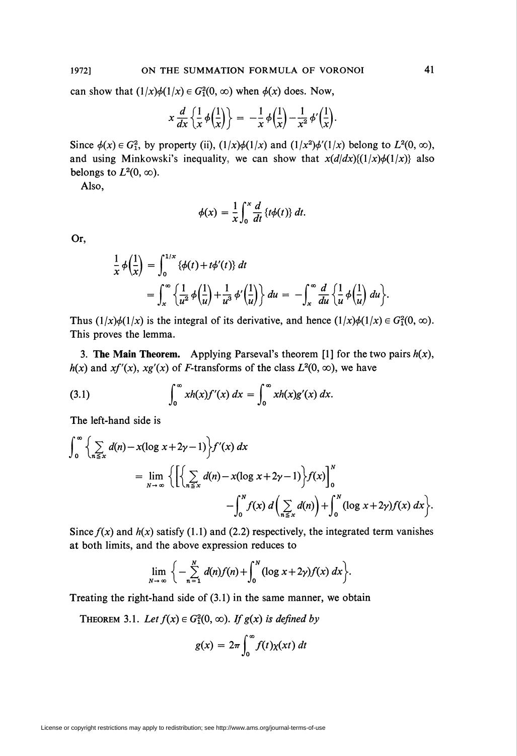can show that  $(1/x)\phi(1/x) \in G_1^2(0, \infty)$  when  $\phi(x)$  does. Now,

$$
x\frac{d}{dx}\left\{\frac{1}{x}\phi\left(\frac{1}{x}\right)\right\} = -\frac{1}{x}\phi\left(\frac{1}{x}\right) - \frac{1}{x^2}\phi'\left(\frac{1}{x}\right).
$$

Since  $\phi(x) \in G_1^2$ , by property (ii),  $(1/x)\phi(1/x)$  and  $(1/x^2)\phi'(1/x)$  belong to  $L^2(0, \infty)$ , and using Minkowski's inequality, we can show that  $x(d/dx){(1/x)}\phi(1/x)$  also belongs to  $L^2(0, \infty)$ .

Also,

$$
\phi(x) = \frac{1}{x} \int_0^x \frac{d}{dt} \{t\phi(t)\} dt.
$$

Or,

$$
\frac{1}{x}\phi\left(\frac{1}{x}\right) = \int_0^{1/x} {\{\phi(t) + t\phi'(t)\} dt}
$$
  
= 
$$
\int_x^{\infty} {\left\{\frac{1}{u^2}\phi\left(\frac{1}{u}\right) + \frac{1}{u^3}\phi'\left(\frac{1}{u}\right)\right\} du} = -\int_x^{\infty} \frac{d}{du} {\left\{\frac{1}{u}\phi\left(\frac{1}{u}\right) du\right\}}.
$$

Thus  $(1/x)\phi(1/x)$  is the integral of its derivative, and hence  $(1/x)\phi(1/x) \in G_1^2(0, \infty)$ . This proves the lemma.

3. The Main Theorem. Applying Parseval's theorem [1] for the two pairs  $h(x)$ ,  $h(x)$  and  $xf'(x)$ ,  $xg'(x)$  of *F*-transforms of the class  $L^2(0, \infty)$ , we have

(3.1) 
$$
\int_0^{\infty} xh(x)f'(x) dx = \int_0^{\infty} xh(x)g'(x) dx.
$$

The left-hand side is

$$
\int_0^{\infty} \left\{ \sum_{n \le x} d(n) - x(\log x + 2\gamma - 1) \right\} f'(x) dx
$$
  
= 
$$
\lim_{N \to \infty} \left\{ \left[ \left\{ \sum_{n \le x} d(n) - x(\log x + 2\gamma - 1) \right\} f(x) \right]_0^N - \int_0^N f(x) d\left( \sum_{n \le x} d(n) \right) + \int_0^N (\log x + 2\gamma) f(x) dx \right\}.
$$

Since  $f(x)$  and  $h(x)$  satisfy (1.1) and (2.2) respectively, the integrated term vanishes at both limits, and the above expression reduces to

$$
\lim_{N\to\infty}\bigg\{-\sum_{n=1}^N d(n)f(n)+\int_0^N(\log x+2\gamma)f(x)\,dx\bigg\}.
$$

Treating the right-hand side of (3.1) in the same manner, we obtain

THEOREM 3.1. Let  $f(x) \in G_1^2(0, \infty)$ . If  $g(x)$  is defined by

$$
g(x) = 2\pi \int_0^\infty f(t) \chi(xt) dt
$$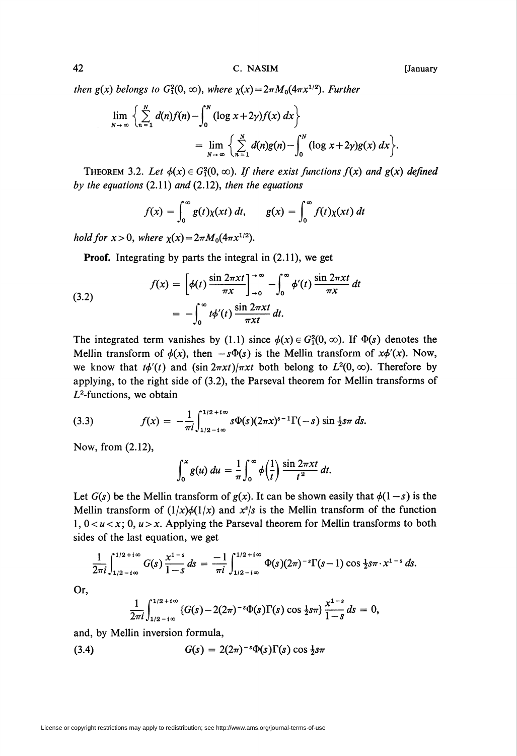then  $g(x)$  belongs to  $G_1^2(0, \infty)$ , where  $\chi(x) = 2\pi M_0(4\pi x^{1/2})$ . Further

$$
\lim_{N \to \infty} \left\{ \sum_{n=1}^{N} d(n) f(n) - \int_{0}^{N} (\log x + 2\gamma) f(x) dx \right\}
$$
  
= 
$$
\lim_{N \to \infty} \left\{ \sum_{n=1}^{N} d(n) g(n) - \int_{0}^{N} (\log x + 2\gamma) g(x) dx \right\}.
$$

THEOREM 3.2. Let  $\phi(x) \in G_1^2(0, \infty)$ . If there exist functions  $f(x)$  and  $g(x)$  defined by the equations  $(2.11)$  and  $(2.12)$ , then the equations

$$
f(x) = \int_0^\infty g(t) \chi(xt) dt, \qquad g(x) = \int_0^\infty f(t) \chi(xt) dt
$$

hold for  $x > 0$ , where  $\chi(x) = 2\pi M_0(4\pi x^{1/2})$ .

Proof. Integrating by parts the integral in (2.11), we get

(3.2)  

$$
f(x) = \left[\phi(t) \frac{\sin 2\pi xt}{\pi x}\right]_{-0}^{\infty} - \int_{0}^{\infty} \phi'(t) \frac{\sin 2\pi xt}{\pi x} dt
$$

$$
= -\int_{0}^{\infty} t\phi'(t) \frac{\sin 2\pi xt}{\pi xt} dt.
$$

The integrated term vanishes by (1.1) since  $\phi(x) \in G_1^2(0, \infty)$ . If  $\Phi(s)$  denotes the Mellin transform of  $\phi(x)$ , then  $-s\Phi(s)$  is the Mellin transform of  $x\phi'(x)$ . Now, we know that  $t\phi'(t)$  and  $(\sin 2\pi x t)/\pi x t$  both belong to  $L^2(0, \infty)$ . Therefore by applying, to the right side of (3.2), the Parseval theorem for Mellin transforms of  $L^2$ -functions, we obtain

(3.3) 
$$
f(x) = -\frac{1}{\pi i} \int_{1/2 - i\infty}^{1/2 + i\infty} s \Phi(s) (2\pi x)^{s-1} \Gamma(-s) \sin \frac{1}{2} s \pi \, ds.
$$

Now, from (2.12),

$$
\int_0^x g(u) \, du = \frac{1}{\pi} \int_0^\infty \phi\left(\frac{1}{t}\right) \frac{\sin 2\pi xt}{t^2} \, dt.
$$

Let  $G(s)$  be the Mellin transform of  $g(x)$ . It can be shown easily that  $\phi(1-s)$  is the Mellin transform of  $(1/x)\phi(1/x)$  and  $x^s/s$  is the Mellin transform of the function  $1, 0 < u < x$ ; 0,  $u > x$ . Applying the Parseval theorem for Mellin transforms to both sides of the last equation, we get

$$
\frac{1}{2\pi i}\int_{1/2-i\infty}^{1/2+i\infty}G(s)\,\frac{x^{1-s}}{1-s}\,ds\,=\,\frac{-1}{\pi i}\int_{1/2-i\infty}^{1/2+i\infty}\Phi(s)(2\pi)^{-s}\Gamma(s-1)\cos\frac{1}{2}s\pi\cdot x^{1-s}\,ds.
$$

Or,

$$
\frac{1}{2\pi i}\int_{1/2-i\infty}^{1/2+i\infty} \{G(s)-2(2\pi)^{-s}\Phi(s)\Gamma(s)\cos \frac{1}{2}s\pi\} \frac{x^{1-s}}{1-s} ds = 0,
$$

and, by Mellin inversion formula,

$$
(3.4) \tG(s) = 2(2\pi)^{-s}\Phi(s)\Gamma(s)\cos\frac{1}{2}s\pi
$$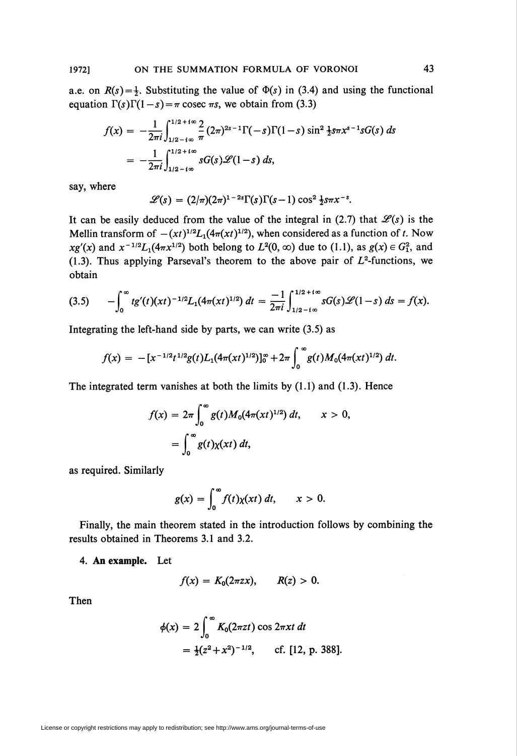a.e. on  $R(s) = \frac{1}{2}$ . Substituting the value of  $\Phi(s)$  in (3.4) and using the functional equation  $\Gamma(s)\Gamma(1-s) = \pi \csc \pi s$ , we obtain from (3.3)

$$
f(x) = -\frac{1}{2\pi i} \int_{1/2 - i\infty}^{1/2 + i\infty} \frac{2}{\pi} (2\pi)^{2s - 1} \Gamma(-s) \Gamma(1 - s) \sin^2 \frac{1}{2} s \pi x^{s - 1} s G(s) ds
$$
  
= 
$$
-\frac{1}{2\pi i} \int_{1/2 - i\infty}^{1/2 + i\infty} s G(s) \mathscr{L}(1 - s) ds,
$$

say, where

$$
\mathscr{L}(s) = (2/\pi)(2\pi)^{1-2s}\Gamma(s)\Gamma(s-1)\cos^2\frac{1}{2}s\pi x^{-s}.
$$

It can be easily deduced from the value of the integral in (2.7) that  $\mathcal{L}(s)$  is the Mellin transform of  $-(xt)^{1/2}L_1(4\pi (xt)^{1/2})$ , when considered as a function of t. Now  $xg'(x)$  and  $x^{-1/2}L_1(4\pi x^{1/2})$  both belong to  $L^2(0, \infty)$  due to (1.1), as  $g(x) \in G_1^2$ , and (1.3). Thus applying Parseval's theorem to the above pair of  $L^2$ -functions, we obtain

$$
(3.5) \qquad -\int_0^\infty t g'(t)(xt)^{-1/2} L_1(4\pi (xt)^{1/2}) \, dt = \frac{-1}{2\pi i} \int_{1/2 - t\infty}^{1/2 + t\infty} sG(s) \mathscr{L}(1-s) \, ds = f(x).
$$

Integrating the left-hand side by parts, we can write  $(3.5)$  as

$$
f(x) = -[x^{-1/2}t^{1/2}g(t)L_1(4\pi(xt)^{1/2})]_0^{\infty} + 2\pi \int_0^{\infty} g(t)M_0(4\pi(xt)^{1/2}) dt.
$$

The integrated term vanishes at both the limits by (1.1) and (1.3). Hence

$$
f(x) = 2\pi \int_0^\infty g(t) M_0(4\pi (xt)^{1/2}) dt, \qquad x > 0,
$$

$$
= \int_0^\infty g(t) \chi(xt) dt,
$$

as required. Similarly

$$
g(x) = \int_0^\infty f(t) \chi(xt) \, dt, \qquad x > 0.
$$

Finally, the main theorem stated in the introduction follows by combining the results obtained in Theorems 3.1 and 3.2.

4. An example. Let

$$
f(x) = K_0(2\pi zx), \qquad R(z) > 0.
$$

Then

$$
\phi(x) = 2 \int_0^\infty K_0(2\pi z t) \cos 2\pi x t \, dt
$$
  
=  $\frac{1}{2}(z^2 + x^2)^{-1/2}$ , cf. [12, p. 388]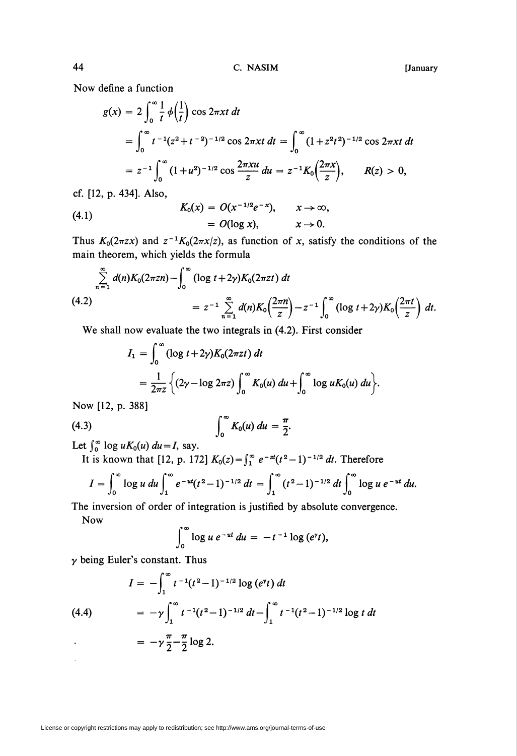Now define a function

$$
g(x) = 2 \int_0^{\infty} \frac{1}{t} \phi\left(\frac{1}{t}\right) \cos 2\pi x t \, dt
$$
  
= 
$$
\int_0^{\infty} t^{-1} (z^2 + t^{-2})^{-1/2} \cos 2\pi x t \, dt = \int_0^{\infty} (1 + z^2 t^2)^{-1/2} \cos 2\pi x t \, dt
$$
  
= 
$$
z^{-1} \int_0^{\infty} (1 + u^2)^{-1/2} \cos \frac{2\pi x u}{z} \, du = z^{-1} K_0 \left(\frac{2\pi x}{z}\right), \qquad R(z) > 0,
$$

cf. [12, p. 434]. Also,

(4.1) 
$$
K_0(x) = O(x^{-1/2}e^{-x}), \t x \to \infty,
$$

$$
= O(\log x), \t x \to 0.
$$

Thus  $K_0(2\pi zx)$  and  $z^{-1}K_0(2\pi x/z)$ , as function of x, satisfy the conditions of the main theorem, which yields the formula

$$
\sum_{n=1}^{\infty} d(n) K_0(2\pi zn) - \int_0^{\infty} (\log t + 2\gamma) K_0(2\pi z t) dt
$$
\n(4.2)\n
$$
= z^{-1} \sum_{n=1}^{\infty} d(n) K_0\left(\frac{2\pi n}{z}\right) - z^{-1} \int_0^{\infty} (\log t + 2\gamma) K_0\left(\frac{2\pi t}{z}\right) dt.
$$

We shall now evaluate the two integrals in (4.2). First consider

$$
I_1 = \int_0^{\infty} (\log t + 2\gamma) K_0(2\pi z t) dt
$$
  
=  $\frac{1}{2\pi z} \left\{ (2\gamma - \log 2\pi z) \int_0^{\infty} K_0(u) du + \int_0^{\infty} \log u K_0(u) du \right\}$ 

Now [12, p. 388]

$$
(4.3) \qquad \qquad \int_0^\infty K_0(u) \ du = \frac{\pi}{2}.
$$

Let  $\int_0^\infty \log u K_0(u) du = I$ , say.

It is known that [12, p. 172]  $K_0(z) = \int_1^{\infty} e^{-zt}(t^2-1)^{-1/2} dt$ . Therefore

$$
I=\int_0^\infty \log u \ du \int_1^\infty e^{-ut} (t^2-1)^{-1/2} \ dt = \int_1^\infty (t^2-1)^{-1/2} \ dt \int_0^\infty \log u \ e^{-ut} \ du.
$$

The inversion of order of integration is justified by absolute convergence.

Now

$$
\int_0^\infty \log u \, e^{-ut} \, du = -t^{-1} \log (e^{\gamma} t),
$$

 $\gamma$  being Euler's constant. Thus

$$
I = -\int_{1}^{\infty} t^{-1}(t^2 - 1)^{-1/2} \log (e^{\gamma}t) dt
$$
  
(4.4)  

$$
= -\gamma \int_{1}^{\infty} t^{-1}(t^2 - 1)^{-1/2} dt - \int_{1}^{\infty} t^{-1}(t^2 - 1)^{-1/2} \log t dt
$$
  

$$
= -\gamma \frac{\pi}{2} - \frac{\pi}{2} \log 2.
$$

License or copyright restrictions may apply to redistribution; see http://www.ams.org/journal-terms-of-use